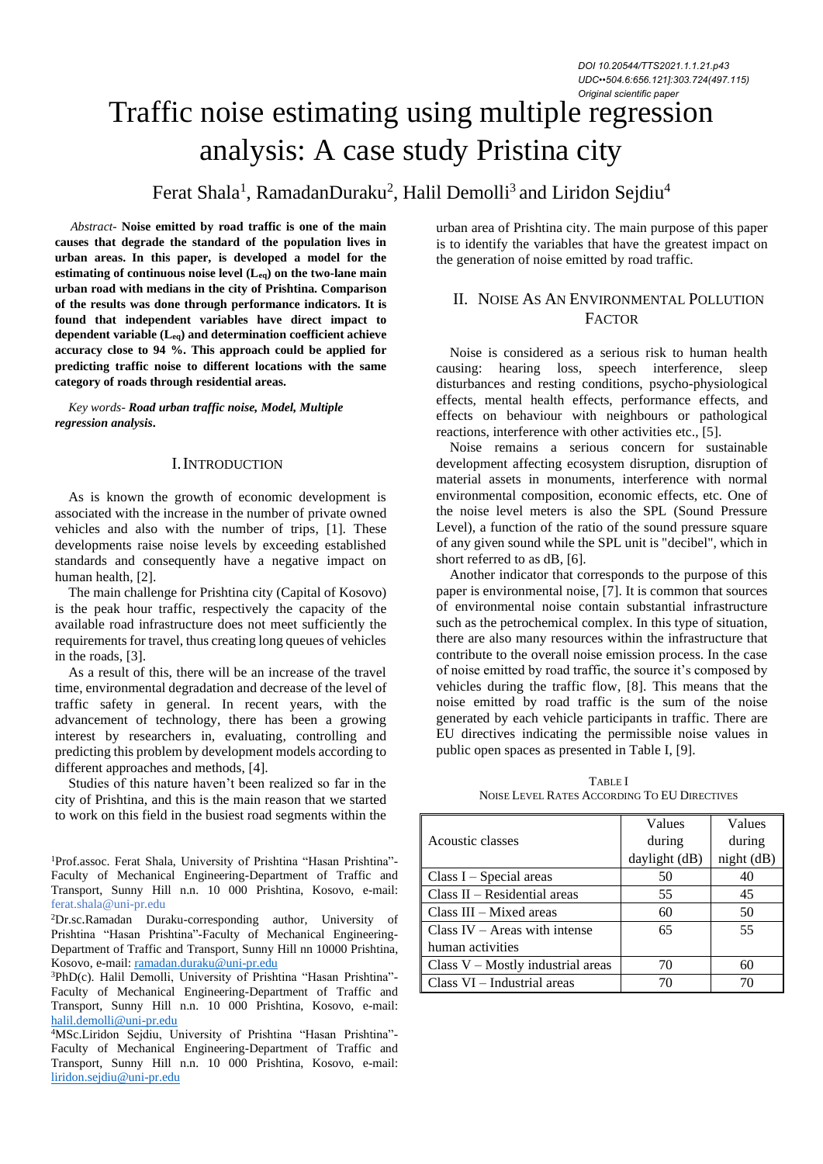# Traffic noise estimating using multiple regression analysis: A case study Pristina city

Ferat Shala<sup>1</sup>, RamadanDuraku<sup>2</sup>, Halil Demolli<sup>3</sup> and Liridon Sejdiu<sup>4</sup>

 *Abstract-* **Noise emitted by road traffic is one of the main causes that degrade the standard of the population lives in urban areas. In this paper, is developed a model for the estimating of continuous noise level (Leq) on the two-lane main urban road with medians in the city of Prishtina. Comparison of the results was done through performance indicators. It is found that independent variables have direct impact to dependent variable (Leq) and determination coefficient achieve accuracy close to 94 %. This approach could be applied for predicting traffic noise to different locations with the same category of roads through residential areas.**

*Key words- Road urban traffic noise, Model, Multiple regression analysis***.** 

## I.INTRODUCTION

As is known the growth of economic development is associated with the increase in the number of private owned vehicles and also with the number of trips, [1]. These developments raise noise levels by exceeding established standards and consequently have a negative impact on human health, [2].

The main challenge for Prishtina city (Capital of Kosovo) is the peak hour traffic, respectively the capacity of the available road infrastructure does not meet sufficiently the requirements for travel, thus creating long queues of vehicles in the roads, [3].

As a result of this, there will be an increase of the travel time, environmental degradation and decrease of the level of traffic safety in general. In recent years, with the advancement of technology, there has been a growing interest by researchers in, evaluating, controlling and predicting this problem by development models according to different approaches and methods, [4].

Studies of this nature haven't been realized so far in the city of Prishtina, and this is the main reason that we started to work on this field in the busiest road segments within the

<sup>1</sup>Prof.assoc. Ferat Shala, University of Prishtina "Hasan Prishtina"-Faculty of Mechanical Engineering-Department of Traffic and Transport, Sunny Hill n.n. 10 000 Prishtina, Kosovo, e-mail: ferat.shala@uni-pr.edu

<sup>2</sup>Dr.sc.Ramadan Duraku-corresponding author, University of Prishtina "Hasan Prishtina"-Faculty of Mechanical Engineering-Department of Traffic and Transport, Sunny Hill nn 10000 Prishtina, Kosovo, e-mail[: ramadan.duraku@uni-pr.edu](mailto:ramadan.duraku@uni-pr.edu)

<sup>3</sup>PhD(c). Halil Demolli, University of Prishtina "Hasan Prishtina"- Faculty of Mechanical Engineering-Department of Traffic and Transport, Sunny Hill n.n. 10 000 Prishtina, Kosovo, e-mail: [halil.demolli@uni-pr.edu](mailto:halil.demolli@uni-pr.edu)

<sup>4</sup>MSc.Liridon Sejdiu, University of Prishtina "Hasan Prishtina"- Faculty of Mechanical Engineering-Department of Traffic and Transport, Sunny Hill n.n. 10 000 Prishtina, Kosovo, e-mail: [liridon.sejdiu@uni-pr.edu](mailto:liridon.sejdiu@uni-pr.edu)

urban area of Prishtina city. The main purpose of this paper is to identify the variables that have the greatest impact on the generation of noise emitted by road traffic.

# II. NOISE AS AN ENVIRONMENTAL POLLUTION **FACTOR**

Noise is considered as a serious risk to human health causing: hearing loss, speech interference, sleep disturbances and resting conditions, psycho-physiological effects, mental health effects, performance effects, and effects on behaviour with neighbours or pathological reactions, interference with other activities etc., [5].

Noise remains a serious concern for sustainable development affecting ecosystem disruption, disruption of material assets in monuments, interference with normal environmental composition, economic effects, etc. One of the noise level meters is also the SPL (Sound Pressure Level), a function of the ratio of the sound pressure square of any given sound while the SPL unit is "decibel", which in short referred to as dB, [6].

Another indicator that corresponds to the purpose of this paper is environmental noise, [7]. It is common that sources of environmental noise contain substantial infrastructure such as the petrochemical complex. In this type of situation, there are also many resources within the infrastructure that contribute to the overall noise emission process. In the case of noise emitted by road traffic, the source it's composed by vehicles during the traffic flow, [8]. This means that the noise emitted by road traffic is the sum of the noise generated by each vehicle participants in traffic. There are EU directives indicating the permissible noise values in public open spaces as presented in Table I, [9].

TABLE I NOISE LEVEL RATES ACCORDING TO EU DIRECTIVES

|                                     | Values        | Values     |  |
|-------------------------------------|---------------|------------|--|
| Acoustic classes                    | during        | during     |  |
|                                     | daylight (dB) | night (dB) |  |
| Class $I - Special$ areas           | 50            | 40         |  |
| $Class II - Residental areas$       | 55            | 45         |  |
| $Class III - Mixed areas$           | 60            | 50         |  |
| Class $IV -$ Areas with intense     | 65            | 55         |  |
| human activities                    |               |            |  |
| Class $V$ – Mostly industrial areas | 70            | 60         |  |
| $Class VI - Industrial areas$       |               |            |  |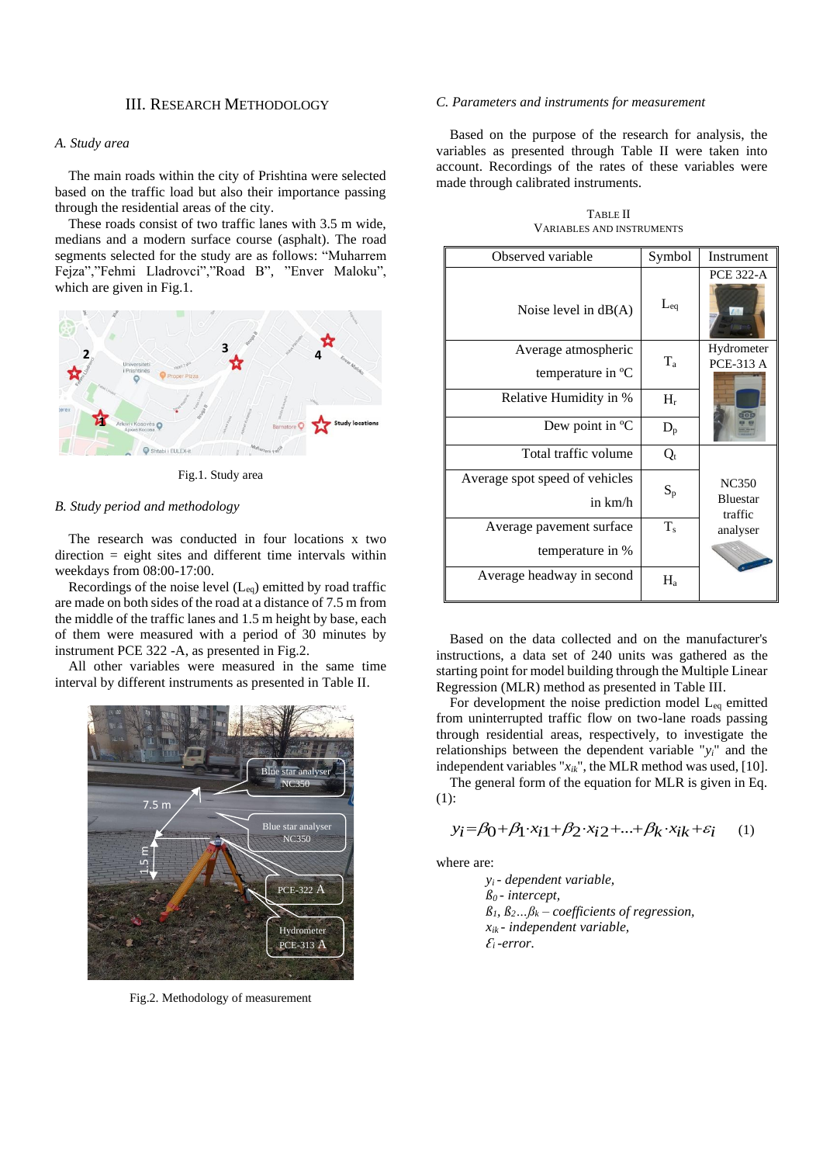## III. RESEARCH METHODOLOGY

# *A. Study area*

The main roads within the city of Prishtina were selected based on the traffic load but also their importance passing through the residential areas of the city.

These roads consist of two traffic lanes with 3.5 m wide, medians and a modern surface course (asphalt). The road segments selected for the study are as follows: "Muharrem Fejza","Fehmi Lladrovci","Road B", "Enver Maloku", which are given in Fig.1.



Fig.1. Study area

#### *B. Study period and methodology*

The research was conducted in four locations x two direction = eight sites and different time intervals within weekdays from 08:00-17:00.

Recordings of the noise level  $(L_{eq})$  emitted by road traffic are made on both sides of the road at a distance of 7.5 m from the middle of the traffic lanes and 1.5 m height by base, each of them were measured with a period of 30 minutes by instrument PCE 322 -A, as presented in Fig.2.

All other variables were measured in the same time interval by different instruments as presented in Table II.



Fig.2. Methodology of measurement

#### *C. Parameters and instruments for measurement*

Based on the purpose of the research for analysis, the variables as presented through Table II were taken into account. Recordings of the rates of these variables were made through calibrated instruments.

| Observed variable                         | Symbol   | Instrument                                 |
|-------------------------------------------|----------|--------------------------------------------|
| Noise level in $dB(A)$                    | $L_{eq}$ | <b>PCE 322-A</b>                           |
| Average atmospheric<br>temperature in °C  | $T_a$    | Hydrometer<br><b>PCE-313 A</b>             |
| Relative Humidity in %                    | $H_r$    |                                            |
| Dew point in $^{\circ}C$                  | $D_{p}$  |                                            |
| Total traffic volume                      | $Q_t$    |                                            |
| Average spot speed of vehicles<br>in km/h | $S_p$    | <b>NC350</b><br><b>Bluestar</b><br>traffic |
| Average pavement surface                  | $T_s$    | analyser                                   |
| temperature in %                          |          |                                            |
| Average headway in second                 | $H_a$    |                                            |

TABLE II VARIABLES AND INSTRUMENTS

Based on the data collected and on the manufacturer's instructions, a data set of 240 units was gathered as the starting point for model building through the Multiple Linear Regression (MLR) method as presented in Table III.

For development the noise prediction model Leq emitted from uninterrupted traffic flow on two-lane roads passing through residential areas, respectively, to investigate the relationships between the dependent variable "*yi*" and the independent variables "*xik*", the MLR method was used, [10].

The general form of the equation for MLR is given in Eq. (1):

$$
y_i = \beta_0 + \beta_1 \cdot x_{i1} + \beta_2 \cdot x_{i2} + \dots + \beta_k \cdot x_{ik} + \varepsilon_i \tag{1}
$$

where are:

*y<sup>i</sup> - dependent variable,*   $\beta$ <sup>0</sup> - *intercept*,  $\beta_1, \beta_2, \ldots, \beta_k$  – *coefficients of regression, xik - independent variable,*   $E_i$ *-error.*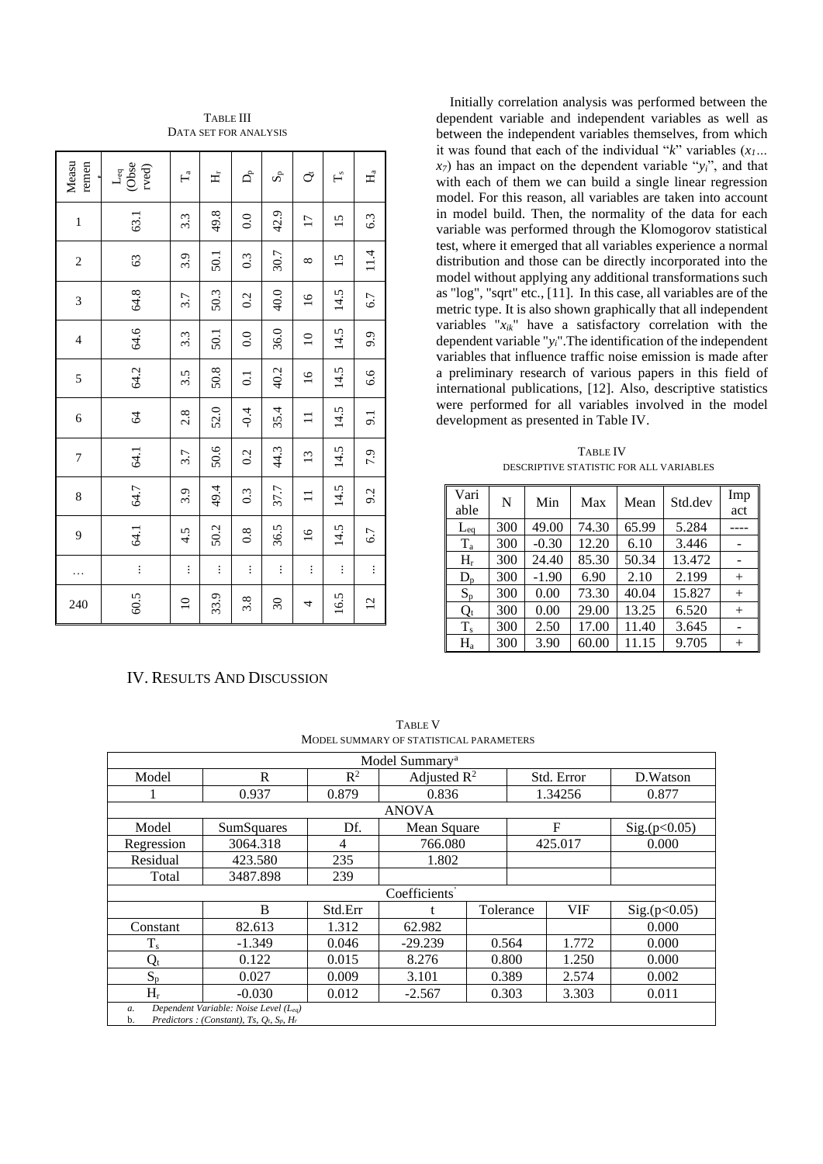| Measu<br>remen | $\frac{\mathsf{L}_{\text{eq}}}{\mathsf{Obse}}$<br>$r$ ved $)$ | $\Gamma_{\rm a}$ | 式        | $\mathsf{D}^\mathtt{b}_\mathtt{I}$ | $S_{\rm p}$             | ŏ               | $\mathbf{L}^{\circ}$ | H,             |
|----------------|---------------------------------------------------------------|------------------|----------|------------------------------------|-------------------------|-----------------|----------------------|----------------|
| $\mathbf{1}$   | 63.1                                                          | 3.3              | 49.8     | 0.0                                | 42.9                    | $\overline{17}$ | 15                   | 6.3            |
| $\overline{c}$ | 63                                                            | 3.9              | 50.1     | 0.3                                | 30.7                    | $^{\circ}$      | $\overline{15}$      | 11.4           |
| 3              | 64.8                                                          | 3.7              | 50.3     | 0.2                                | 40.0                    | $\frac{6}{1}$   | 14.5                 | 6.7            |
| $\overline{4}$ | 64.6                                                          | 3.3              | 50.1     | 0.0                                | 36.0                    | $\Omega$        | 14.5                 | 9.9            |
| 5              | 64.2                                                          | 3.5              | 50.8     | $\overline{0}$                     | 40.2                    | $\tilde{a}$     | 14.5                 | 6.6            |
| 6              | 64                                                            | 2.8              | 52.0     | $-0.4$                             | 35.4                    | $\Xi$           | 14.5                 | 9.1            |
| 7              | 64.1                                                          | 3.7              | 50.6     | 0.2                                | 44.3                    | $\Xi$           | 14.5                 | 7.9            |
| 8              | 64.7                                                          | 3.9              | 49.4     | 0.3                                | 37.7                    | $\Xi$           | 14.5                 | 9.2            |
| 9              | 64.1                                                          | 4.5              | 50.2     | $\overline{0.8}$                   | 36.5                    | $\frac{6}{1}$   | 14.5                 | 6.7            |
| .              | $\vdots$                                                      | $\vdots$         | $\vdots$ | $\vdots$                           | $\vdots$                | $\vdots$        | $\vdots$             | $\vdots$       |
| 240            | 60.5                                                          | $\Xi$            | 33.9     | 3.8                                | $\mathcal{S}^{\bullet}$ | 4               | 16.5                 | $\overline{c}$ |

## TABLE III DATA SET FOR ANALYSIS

# IV. RESULTS AND DISCUSSION

Initially correlation analysis was performed between the dependent variable and independent variables as well as between the independent variables themselves, from which it was found that each of the individual "*k*" variables (*x1…*   $x_7$ ) has an impact on the dependent variable " $y_i$ ", and that with each of them we can build a single linear regression model. For this reason, all variables are taken into account in model build. Then, the normality of the data for each variable was performed through the Klomogorov statistical test, where it emerged that all variables experience a normal distribution and those can be directly incorporated into the model without applying any additional transformations such as "log", "sqrt" etc., [11]. In this case, all variables are of the metric type. It is also shown graphically that all independent variables "*xik*" have a satisfactory correlation with the dependent variable "*yi*".The identification of the independent variables that influence traffic noise emission is made after a preliminary research of various papers in this field of international publications, [12]. Also, descriptive statistics were performed for all variables involved in the model development as presented in Table IV.

TABLE IV DESCRIPTIVE STATISTIC FOR ALL VARIABLES

| Vari<br>able | N   | Min     | Max   | Mean  | Std.dev | Imp<br>act |
|--------------|-----|---------|-------|-------|---------|------------|
| $L_{eq}$     | 300 | 49.00   | 74.30 | 65.99 | 5.284   | ----       |
| $T_a$        | 300 | $-0.30$ | 12.20 | 6.10  | 3.446   |            |
| $H_r$        | 300 | 24.40   | 85.30 | 50.34 | 13.472  |            |
| $D_p$        | 300 | $-1.90$ | 6.90  | 2.10  | 2.199   | $^{+}$     |
| $S_p$        | 300 | 0.00    | 73.30 | 40.04 | 15.827  | $^{+}$     |
| $Q_t$        | 300 | 0.00    | 29.00 | 13.25 | 6.520   | $^{+}$     |
| $T_s$        | 300 | 2.50    | 17.00 | 11.40 | 3.645   |            |
| $H_a$        | 300 | 3.90    | 60.00 | 11.15 | 9.705   | $^{+}$     |

Model Summary<sup>a</sup>  $\begin{array}{c|c}\n\text{Model} & R & R^2 \\
\hline\n1 & 0.937 & 0.879\n\end{array}$ Adjusted  $R^2$  Std. Error D.Watson 1 0.937 0.879 0.836 1.34256 0.877 ANOVA Model SumSquares Df. Mean Square F Sig.(p<0.05)<br>egression 3064.318 4 766.080 425.017 0.000 Regression 3064.318 4 766.080 425.017 0.000 Residual 423.580 235 1.802 Total 3487.898 Coefficients' B Std.Err t Tolerance VIF Sig. $(p<0.05)$ Constant | 82.613 | 1.312 | 62.982 | | | 0.000  $T_s$  | -1.349 | 0.046 | -29.239 | 0.564 | 1.772 | 0.000  $Q_t$  | 0.122 | 0.015 | 8.276 | 0.800 | 1.250 | 0.000  $S_p$  | 0.027 | 0.009 | 3.101 | 0.389 | 2.574 | 0.002  $H_r$  -0.030 0.012 -2.567 0.303 3.303 0.011 *a. Dependent Variable: Noise Level (Leq)* b. *Predictors : (Constant), Ts, Qt, Sp, H<sup>r</sup>*

TABLE V MODEL SUMMARY OF STATISTICAL PARAMETERS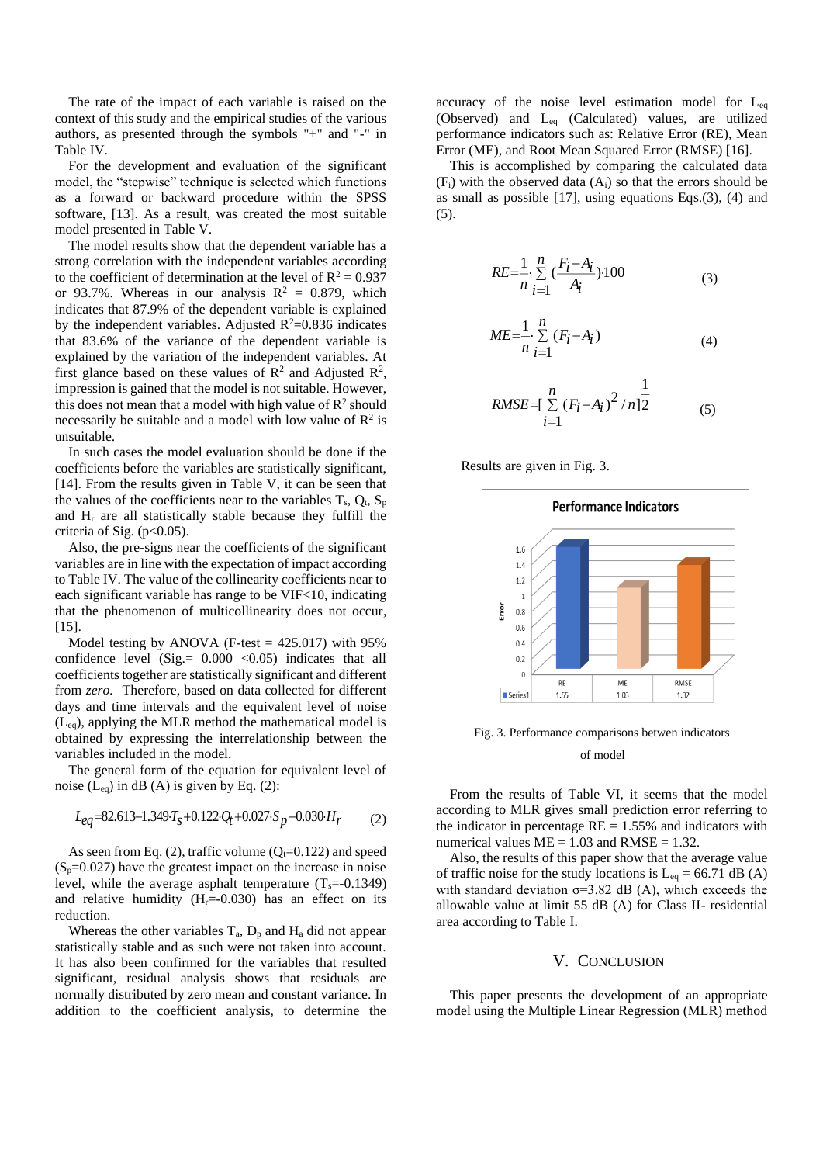The rate of the impact of each variable is raised on the context of this study and the empirical studies of the various authors, as presented through the symbols "+" and "-" in Table IV.

For the development and evaluation of the significant model, the "stepwise" technique is selected which functions as a forward or backward procedure within the SPSS software, [13]. As a result, was created the most suitable model presented in Table V.

The model results show that the dependent variable has a strong correlation with the independent variables according to the coefficient of determination at the level of  $R^2 = 0.937$ or 93.7%. Whereas in our analysis  $R^2 = 0.879$ , which indicates that 87.9% of the dependent variable is explained by the independent variables. Adjusted  $R^2$ =0.836 indicates that 83.6% of the variance of the dependent variable is explained by the variation of the independent variables. At first glance based on these values of  $\mathbb{R}^2$  and Adjusted  $\mathbb{R}^2$ , impression is gained that the model is not suitable. However, this does not mean that a model with high value of  $\mathbb{R}^2$  should necessarily be suitable and a model with low value of  $\mathbb{R}^2$  is unsuitable.

In such cases the model evaluation should be done if the coefficients before the variables are statistically significant, [14]. From the results given in Table V, it can be seen that the values of the coefficients near to the variables  $T_s$ ,  $Q_t$ ,  $S_p$ and H<sup>r</sup> are all statistically stable because they fulfill the criteria of Sig.  $(p<0.05)$ .

Also, the pre-signs near the coefficients of the significant variables are in line with the expectation of impact according to Table IV. The value of the collinearity coefficients near to each significant variable has range to be VIF<10, indicating that the phenomenon of multicollinearity does not occur, [15].

Model testing by ANOVA (F-test  $= 425.017$ ) with 95% confidence level (Sig. =  $0.000$  < 0.05) indicates that all coefficients together are statistically significant and different from *zero.* Therefore, based on data collected for different days and time intervals and the equivalent level of noise (Leq), applying the MLR method the mathematical model is obtained by expressing the interrelationship between the variables included in the model.

The general form of the equation for equivalent level of noise  $(L_{eq})$  in dB  $(A)$  is given by Eq. (2):

$$
L_{eq} = 82.613 - 1.349 \cdot T_s + 0.122 \cdot Q_t + 0.027 \cdot S_p - 0.030 \cdot H_r \tag{2}
$$

As seen from Eq. (2), traffic volume ( $Q_t$ =0.122) and speed  $(S_p=0.027)$  have the greatest impact on the increase in noise level, while the average asphalt temperature  $(T_s=0.1349)$ and relative humidity  $(H_r=0.030)$  has an effect on its reduction.

Whereas the other variables  $T_a$ ,  $D_p$  and  $H_a$  did not appear statistically stable and as such were not taken into account. It has also been confirmed for the variables that resulted significant, residual analysis shows that residuals are normally distributed by zero mean and constant variance. In addition to the coefficient analysis, to determine the

accuracy of the noise level estimation model for  $L_{eq}$ (Observed) and Leq (Calculated) values, are utilized performance indicators such as: Relative Error (RE), Mean Error (ME), and Root Mean Squared Error (RMSE) [16].

This is accomplished by comparing the calculated data  $(F_i)$  with the observed data  $(A_i)$  so that the errors should be as small as possible [17], using equations Eqs.(3), (4) and (5).

$$
RE = \frac{1}{n} \sum_{i=1}^{n} \left( \frac{F_i - A_i}{A_i} \right) \cdot 100
$$
 (3)

$$
ME = \frac{1}{n} \sum_{i=1}^{n} (F_i - A_i)
$$
 (4)

RMSE=
$$
\sum_{i=1}^{n} (F_i - A_i)^2 / n \ge 1
$$
 (5)

Results are given in Fig. 3.



Fig. 3. Performance comparisons betwen indicators

#### of model

From the results of Table VI, it seems that the model according to MLR gives small prediction error referring to the indicator in percentage  $RE = 1.55\%$  and indicators with numerical values  $ME = 1.03$  and  $RMSE = 1.32$ .

Also, the results of this paper show that the average value of traffic noise for the study locations is  $L_{eq} = 66.71$  dB (A) with standard deviation  $\sigma$ =3.82 dB (A), which exceeds the allowable value at limit 55 dB (A) for Class II- residential area according to Table I.

## V. CONCLUSION

This paper presents the development of an appropriate model using the Multiple Linear Regression (MLR) method